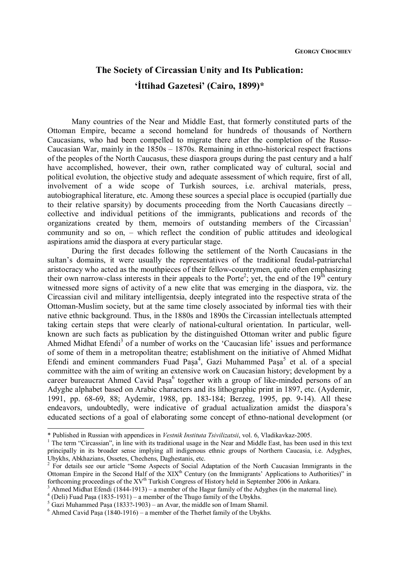## **The Society of Circassian Unity and Its Publication: 'İttihad Gazetesi' (Cairo, 1899)\***

 Many countries of the Near and Middle East, that formerly constituted parts of the Ottoman Empire, became a second homeland for hundreds of thousands of Northern Caucasians, who had been compelled to migrate there after the completion of the Russo-Caucasian War, mainly in the 1850s – 1870s. Remaining in ethno-historical respect fractions of the peoples of the North Caucasus, these diaspora groups during the past century and a half have accomplished, however, their own, rather complicated way of cultural, social and political evolution, the objective study and adequate assessment of which require, first of all, involvement of a wide scope of Turkish sources, i.e. archival materials, press, autobiographical literature, etc. Among these sources a special place is occupied (partially due to their relative sparsity) by documents proceeding from the North Caucasians directly – collective and individual petitions of the immigrants, publications and records of the organizations created by them, memoirs of outstanding members of the Circassian<sup>1</sup> community and so on, – which reflect the condition of public attitudes and ideological aspirations amid the diaspora at every particular stage.

During the first decades following the settlement of the North Caucasians in the sultan's domains, it were usually the representatives of the traditional feudal-patriarchal aristocracy who acted as the mouthpieces of their fellow-countrymen, quite often emphasizing their own narrow-class interests in their appeals to the Porte<sup>2</sup>; yet, the end of the 19<sup>th</sup> century witnessed more signs of activity of a new elite that was emerging in the diaspora, viz. the Circassian civil and military intelligentsia, deeply integrated into the respective strata of the Ottoman-Muslim society, but at the same time closely associated by informal ties with their native ethnic background. Thus, in the 1880s and 1890s the Circassian intellectuals attempted taking certain steps that were clearly of national-cultural orientation. In particular, wellknown are such facts as publication by the distinguished Ottoman writer and public figure Ahmed Midhat Efendi<sup>3</sup> of a number of works on the 'Caucasian life' issues and performance of some of them in a metropolitan theatre; establishment on the initiative of Ahmed Midhat Efendi and eminent commanders Fuad Paşa<sup>4</sup>, Gazi Muhammed Paşa<sup>5</sup> et al. of a special committee with the aim of writing an extensive work on Caucasian history; development by a career bureaucrat Ahmed Cavid Paşa<sup>6</sup> together with a group of like-minded persons of an Adyghe alphabet based on Arabic characters and its lithographic print in 1897, etc. (Aydemir, 1991, pp. 68-69, 88; Aydemir, 1988, pp. 183-184; Berzeg, 1995, pp. 9-14). All these endeavors, undoubtedly, were indicative of gradual actualization amidst the diaspora's educated sections of a goal of elaborating some concept of ethno-national development (or

<sup>\*</sup> Published in Russian with appendices in *Vestnik Instituta Tsivilizatsii*, vol. 6, Vladikavkaz-2005. 1

<sup>&</sup>lt;sup>1</sup> The term "Circassian", in line with its traditional usage in the Near and Middle East, has been used in this text principally in its broader sense implying all indigenous ethnic groups of Northern Caucasia, i.e. Adyghes, Ubykhs, Abkhazians, Ossetes, Chechens, Daghestanis, etc.

<sup>&</sup>lt;sup>2</sup> For details see our article "Some Aspects of Social Adaptation of the North Caucasian Immigrants in the Ottoman Empire in the Second Half of the XIX<sup>th</sup> Century (on the Immigrants' Applications to Authorities)" in forthcoming proceedings of the  $XV^{th}$  Turkish Congress of History held in September 2006 in Ankara.

<sup>&</sup>lt;sup>3</sup> Ahmed Midhat Efendi (1844-1913) – a member of the Hagur family of the Adyghes (in the maternal line).

<sup>&</sup>lt;sup>4</sup> (Deli) Fuad Paşa (1835-1931) – a member of the Thugo family of the Ubykhs.<br><sup>5</sup> Gazi Muhammad Pasa (18332-1903), an Aver, the middle son of Imam Shami

 $\frac{6}{3}$  Gazi Muhammed Paşa (1833?-1903) – an Avar, the middle son of Imam Shamil.

 $6$  Ahmed Cavid Pasa (1840-1916) – a member of the Therhet family of the Ubykhs.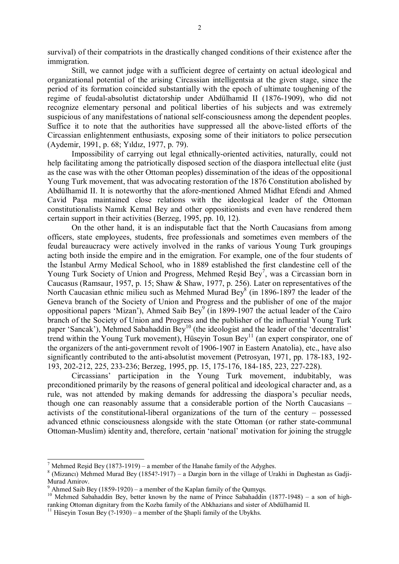survival) of their compatriots in the drastically changed conditions of their existence after the immigration.

Still, we cannot judge with a sufficient degree of certainty on actual ideological and organizational potential of the arising Circassian intelligentsia at the given stage, since the period of its formation coincided substantially with the epoch of ultimate toughening of the regime of feudal-absolutist dictatorship under Abdülhamid II (1876-1909), who did not recognize elementary personal and political liberties of his subjects and was extremely suspicious of any manifestations of national self-consciousness among the dependent peoples. Suffice it to note that the authorities have suppressed all the above-listed efforts of the Circassian enlightenment enthusiasts, exposing some of their initiators to police persecution (Aydemir, 1991, p. 68; Yıldız, 1977, p. 79).

 Impossibility of carrying out legal ethnically-oriented activities, naturally, could not help facilitating among the patriotically disposed section of the diaspora intellectual elite (just as the case was with the other Ottoman peoples) dissemination of the ideas of the oppositional Young Turk movement, that was advocating restoration of the 1876 Constitution abolished by Abdülhamid II. It is noteworthy that the afore-mentioned Ahmed Midhat Efendi and Ahmed Cavid Paşa maintained close relations with the ideological leader of the Ottoman constitutionalists Namık Kemal Bey and other oppositionists and even have rendered them certain support in their activities (Berzeg, 1995, pp. 10, 12).

 On the other hand, it is an indisputable fact that the North Caucasians from among officers, state employees, students, free professionals and sometimes even members of the feudal bureaucracy were actively involved in the ranks of various Young Turk groupings acting both inside the empire and in the emigration. For example, one of the four students of the İstanbul Army Medical School, who in 1889 established the first clandestine cell of the Young Turk Society of Union and Progress, Mehmed Reşid Bey<sup>7</sup>, was a Circassian born in Caucasus (Ramsaur, 1957, p. 15; Shaw & Shaw, 1977, p. 256). Later on representatives of the North Caucasian ethnic milieu such as Mehmed Murad Bey<sup>8</sup> (in 1896-1897 the leader of the Geneva branch of the Society of Union and Progress and the publisher of one of the major oppositional papers 'Mizan'), Ahmed Saib Bey<sup>9</sup> (in 1899-1907 the actual leader of the Cairo branch of the Society of Union and Progress and the publisher of the influential Young Turk paper 'Sancak'), Mehmed Sabahaddin Bey<sup>10</sup> (the ideologist and the leader of the 'decentralist' trend within the Young Turk movement), Hüseyin Tosun Bey<sup>11</sup> (an expert conspirator, one of the organizers of the anti-government revolt of 1906-1907 in Eastern Anatolia), etc., have also significantly contributed to the anti-absolutist movement (Petrosyan, 1971, pp. 178-183, 192- 193, 202-212, 225, 233-236; Berzeg, 1995, pp. 15, 175-176, 184-185, 223, 227-228).

 Circassians' participation in the Young Turk movement, indubitably, was preconditioned primarily by the reasons of general political and ideological character and, as a rule, was not attended by making demands for addressing the diaspora's peculiar needs, though one can reasonably assume that a considerable portion of the North Caucasians – activists of the constitutional-liberal organizations of the turn of the century – possessed advanced ethnic consciousness alongside with the state Ottoman (or rather state-communal Ottoman-Muslim) identity and, therefore, certain 'national' motivation for joining the struggle

-

Mehmed Reșid Bey (1873-1919) – a member of the Hanahe family of the Adyghes.<br><sup>8</sup> (Mizana) Mahmad Mured Bey (18542-1917) – a Dargin bern in the village of Ura

 $\frac{8}{3}$  (Mizancı) Mehmed Murad Bey (1854?-1917) – a Dargin born in the village of Urakhi in Daghestan as Gadji-Murad Amirov.

<sup>9</sup> Ahmed Saib Bey (1859-1920) – a member of the Kaplan family of the Qumyqs.

<sup>&</sup>lt;sup>10</sup> Mehmed Sabahaddin Bey, better known by the name of Prince Sabahaddin (1877-1948) – a son of highranking Ottoman dignitary from the Kozba family of the Abkhazians and sister of Abdülhamid II.

<sup>&</sup>lt;sup>11</sup> Hüseyin Tosun Bey (?-1930) – a member of the Shapli family of the Ubykhs.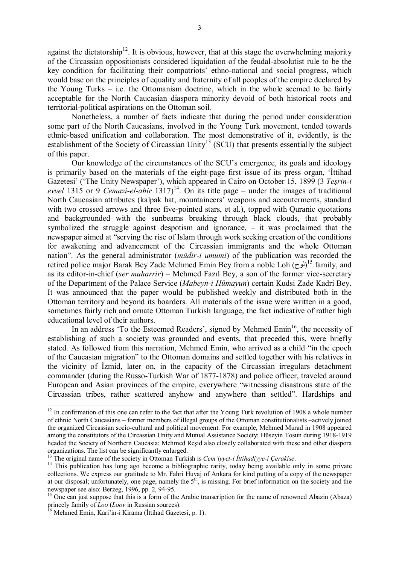against the dictatorship<sup>12</sup>. It is obvious, however, that at this stage the overwhelming majority of the Circassian oppositionists considered liquidation of the feudal-absolutist rule to be the key condition for facilitating their compatriots' ethno-national and social progress, which would base on the principles of equality and fraternity of all peoples of the empire declared by the Young Turks – i.e. the Ottomanism doctrine, which in the whole seemed to be fairly acceptable for the North Caucasian diaspora minority devoid of both historical roots and territorial-political aspirations on the Ottoman soil.

Nonetheless, a number of facts indicate that during the period under consideration some part of the North Caucasians, involved in the Young Turk movement, tended towards ethnic-based unification and collaboration. The most demonstrative of it, evidently, is the establishment of the Society of Circassian Unity<sup>13</sup> (SCU) that presents essentially the subject of this paper.

Our knowledge of the circumstances of the SCU's emergence, its goals and ideology is primarily based on the materials of the eight-page first issue of its press organ, 'İttihad Gazetesi' ('The Unity Newspaper'), which appeared in Cairo on October 15, 1899 (3 *Teşrin-i evvel* 1315 or 9 *Cemazi-el-ahir* 1317)<sup>14</sup>. On its title page – under the images of traditional North Caucasian attributes (kalpak hat, mountaineers' weapons and accouterments, standard with two crossed arrows and three five-pointed stars, et al.), topped with Ouranic quotations and backgrounded with the sunbeams breaking through black clouds, that probably symbolized the struggle against despotism and ignorance, – it was proclaimed that the newspaper aimed at "serving the rise of Islam through work seeking creation of the conditions for awakening and advancement of the Circassian immigrants and the whole Ottoman nation". As the general administrator (*müdir-i umumi*) of the publication was recorded the retired police major Barak Bey Zade Mehmed Emin Bey from a noble Loh ( $\ell$ لوح)<sup>15</sup> family, and as its editor-in-chief (*ser muharrir*) – Mehmed Fazıl Bey, a son of the former vice-secretary of the Department of the Palace Service (*Mabeyn-i Hümayun*) certain Kudsi Zade Kadri Bey. It was announced that the paper would be published weekly and distributed both in the Ottoman territory and beyond its boarders. All materials of the issue were written in a good, sometimes fairly rich and ornate Ottoman Turkish language, the fact indicative of rather high educational level of their authors.

In an address 'To the Esteemed Readers', signed by Mehmed  $Emin^{16}$ , the necessity of establishing of such a society was grounded and events, that preceded this, were briefly stated. As followed from this narration, Mehmed Emin, who arrived as a child "in the epoch of the Caucasian migration" to the Ottoman domains and settled together with his relatives in the vicinity of İzmid, later on, in the capacity of the Circassian irregulars detachment commander (during the Russo-Turkish War of 1877-1878) and police officer, traveled around European and Asian provinces of the empire, everywhere "witnessing disastrous state of the Circassian tribes, rather scattered anyhow and anywhere than settled". Hardships and

 $12$  In confirmation of this one can refer to the fact that after the Young Turk revolution of 1908 a whole number of ethnic North Caucasians – former members of illegal groups of the Ottoman constitutionalists –actively joined the organized Circassian socio-cultural and political movement. For example, Mehmed Murad in 1908 appeared among the constitutors of the Circassian Unity and Mutual Assistance Society; Hüseyin Tosun during 1918-1919 headed the Society of Northern Caucasia; Mehmed Reşid also closely collaborated with these and other diaspora organizations. The list can be significantly enlarged.<br><sup>13</sup> The original name of the society in Ottoman Turkish is *Cem* 'ivvet-i Ittihadivve-i Cerakise.

<sup>&</sup>lt;sup>14</sup> This publication has long ago become a bibliographic rarity, today being available only in some private collections. We express our gratitude to Mr. Fahri Huvaj of Ankara for kind putting of a copy of the newspaper at our disposal; unfortunately, one page, namely the  $5<sup>th</sup>$ , is missing. For brief information on the society and the newspaper see also: Berzeg, 1996, pp. 2, 94-95.

<sup>&</sup>lt;sup>15</sup> One can just suppose that this is a form of the Arabic transcription for the name of renowned Abazin (Abaza) princely family of *Loo* (*Loov* in Russian sources).

<sup>&</sup>lt;sup>16</sup> Mehmed Emin, Kari'in-i Kirama (İttihad Gazetesi, p. 1).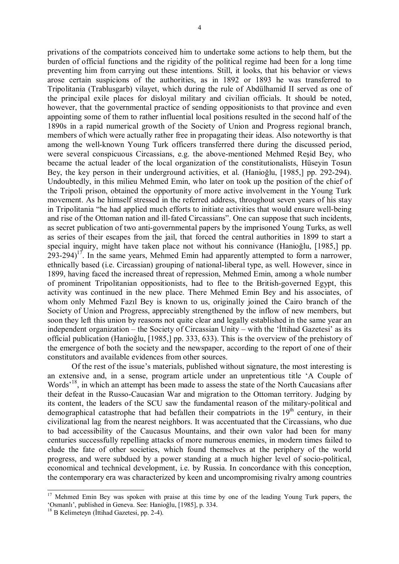privations of the compatriots conceived him to undertake some actions to help them, but the burden of official functions and the rigidity of the political regime had been for a long time preventing him from carrying out these intentions. Still, it looks, that his behavior or views arose certain suspicions of the authorities, as in 1892 or 1893 he was transferred to Tripolitania (Trablusgarb) vilayet, which during the rule of Abdülhamid II served as one of the principal exile places for disloyal military and civilian officials. It should be noted, however, that the governmental practice of sending oppositionists to that province and even appointing some of them to rather influential local positions resulted in the second half of the 1890s in a rapid numerical growth of the Society of Union and Progress regional branch, members of which were actually rather free in propagating their ideas. Also noteworthy is that among the well-known Young Turk officers transferred there during the discussed period, were several conspicuous Circassians, e.g. the above-mentioned Mehmed Reşid Bey, who became the actual leader of the local organization of the constitutionalists, Hüseyin Tosun Bey, the key person in their underground activities, et al. (Hanioğlu, [1985,] pp. 292-294). Undoubtedly, in this milieu Mehmed Emin, who later on took up the position of the chief of the Tripoli prison, obtained the opportunity of more active involvement in the Young Turk movement. As he himself stressed in the referred address, throughout seven years of his stay in Tripolitania "he had applied much efforts to initiate activities that would ensure well-being and rise of the Ottoman nation and ill-fated Circassians". One can suppose that such incidents, as secret publication of two anti-governmental papers by the imprisoned Young Turks, as well as series of their escapes from the jail, that forced the central authorities in 1899 to start a special inquiry, might have taken place not without his connivance (Hanioğlu, [1985,] pp.  $293-294$ <sup>17</sup>. In the same years, Mehmed Emin had apparently attempted to form a narrower, ethnically based (i.e. Circassian) grouping of national-liberal type, as well. However, since in 1899, having faced the increased threat of repression, Mehmed Emin, among a whole number of prominent Tripolitanian oppositionists, had to flee to the British-governed Egypt, this activity was continued in the new place. There Mehmed Emin Bey and his associates, of whom only Mehmed Fazıl Bey is known to us, originally joined the Cairo branch of the Society of Union and Progress, appreciably strengthened by the inflow of new members, but soon they left this union by reasons not quite clear and legally established in the same year an independent organization – the Society of Circassian Unity – with the 'İttihad Gazetesi' as its official publication (Hanioğlu, [1985,] pp. 333, 633). This is the overview of the prehistory of the emergence of both the society and the newspaper, according to the report of one of their constitutors and available evidences from other sources.

Of the rest of the issue's materials, published without signature, the most interesting is an extensive and, in a sense, program article under an unpretentious title 'A Couple of Words<sup>18</sup>, in which an attempt has been made to assess the state of the North Caucasians after their defeat in the Russo-Caucasian War and migration to the Ottoman territory. Judging by its content, the leaders of the SCU saw the fundamental reason of the military-political and demographical catastrophe that had befallen their compatriots in the  $19<sup>th</sup>$  century, in their civilizational lag from the nearest neighbors. It was accentuated that the Circassians, who due to bad accessibility of the Caucasus Mountains, and their own valor had been for many centuries successfully repelling attacks of more numerous enemies, in modern times failed to elude the fate of other societies, which found themselves at the periphery of the world progress, and were subdued by a power standing at a much higher level of socio-political, economical and technical development, i.e. by Russia. In concordance with this conception, the contemporary era was characterized by keen and uncompromising rivalry among countries

<sup>&</sup>lt;sup>17</sup> Mehmed Emin Bey was spoken with praise at this time by one of the leading Young Turk papers, the 'Osmanlı', published in Geneva. See: Hanioğlu, [1985], p. 334. 18 B Kelimeteyn (İttihad Gazetesi, pp. 2-4).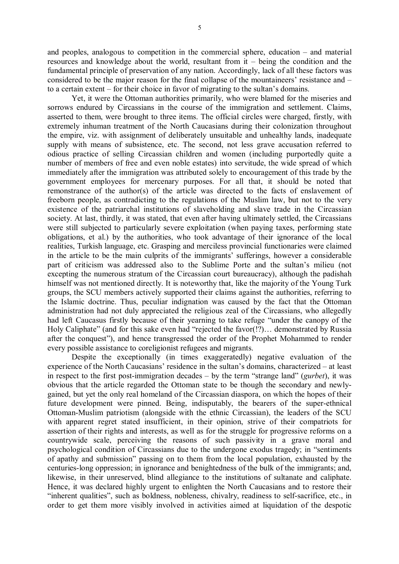and peoples, analogous to competition in the commercial sphere, education – and material resources and knowledge about the world, resultant from it – being the condition and the fundamental principle of preservation of any nation. Accordingly, lack of all these factors was considered to be the major reason for the final collapse of the mountaineers' resistance and – to a certain extent – for their choice in favor of migrating to the sultan's domains.

Yet, it were the Ottoman authorities primarily, who were blamed for the miseries and sorrows endured by Circassians in the course of the immigration and settlement. Claims, asserted to them, were brought to three items. The official circles were charged, firstly, with extremely inhuman treatment of the North Caucasians during their colonization throughout the empire, viz. with assignment of deliberately unsuitable and unhealthy lands, inadequate supply with means of subsistence, etc. The second, not less grave accusation referred to odious practice of selling Circassian children and women (including purportedly quite a number of members of free and even noble estates) into servitude, the wide spread of which immediately after the immigration was attributed solely to encouragement of this trade by the government employees for mercenary purposes. For all that, it should be noted that remonstrance of the author(s) of the article was directed to the facts of enslavement of freeborn people, as contradicting to the regulations of the Muslim law, but not to the very existence of the patriarchal institutions of slaveholding and slave trade in the Circassian society. At last, thirdly, it was stated, that even after having ultimately settled, the Circassians were still subjected to particularly severe exploitation (when paying taxes, performing state obligations, et al.) by the authorities, who took advantage of their ignorance of the local realities, Turkish language, etc. Grasping and merciless provincial functionaries were claimed in the article to be the main culprits of the immigrants' sufferings, however a considerable part of criticism was addressed also to the Sublime Porte and the sultan's milieu (not excepting the numerous stratum of the Circassian court bureaucracy), although the padishah himself was not mentioned directly. It is noteworthy that, like the majority of the Young Turk groups, the SCU members actively supported their claims against the authorities, referring to the Islamic doctrine. Thus, peculiar indignation was caused by the fact that the Ottoman administration had not duly appreciated the religious zeal of the Circassians, who allegedly had left Caucasus firstly because of their yearning to take refuge "under the canopy of the Holy Caliphate" (and for this sake even had "rejected the favor(!?)… demonstrated by Russia after the conquest"), and hence transgressed the order of the Prophet Mohammed to render every possible assistance to coreligionist refugees and migrants.

Despite the exceptionally (in times exaggeratedly) negative evaluation of the experience of the North Caucasians' residence in the sultan's domains, characterized – at least in respect to the first post-immigration decades – by the term "strange land" (*gurbet*), it was obvious that the article regarded the Ottoman state to be though the secondary and newlygained, but yet the only real homeland of the Circassian diaspora, on which the hopes of their future development were pinned. Being, indisputably, the bearers of the super-ethnical Ottoman-Muslim patriotism (alongside with the ethnic Circassian), the leaders of the SCU with apparent regret stated insufficient, in their opinion, strive of their compatriots for assertion of their rights and interests, as well as for the struggle for progressive reforms on a countrywide scale, perceiving the reasons of such passivity in a grave moral and psychological condition of Circassians due to the undergone exodus tragedy; in "sentiments of apathy and submission" passing on to them from the local population, exhausted by the centuries-long oppression; in ignorance and benightedness of the bulk of the immigrants; and, likewise, in their unreserved, blind allegiance to the institutions of sultanate and caliphate. Hence, it was declared highly urgent to enlighten the North Caucasians and to restore their "inherent qualities", such as boldness, nobleness, chivalry, readiness to self-sacrifice, etc., in order to get them more visibly involved in activities aimed at liquidation of the despotic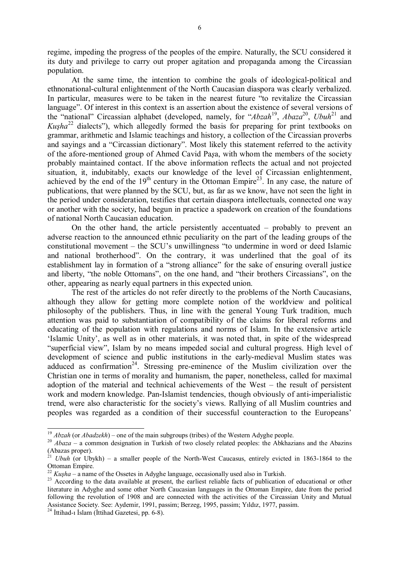regime, impeding the progress of the peoples of the empire. Naturally, the SCU considered it its duty and privilege to carry out proper agitation and propaganda among the Circassian population.

At the same time, the intention to combine the goals of ideological-political and ethnonational-cultural enlightenment of the North Caucasian diaspora was clearly verbalized. In particular, measures were to be taken in the nearest future "to revitalize the Circassian language". Of interest in this context is an assertion about the existence of several versions of the "national" Circassian alphabet (developed, namely, for "*Abzah*<sup>19</sup>, *Abaza*<sup>20</sup>, *Ubuh*<sup>21</sup> and *Kusha*<sup>22</sup> dialects"), which allegedly formed the basis for preparing for print textbooks on grammar, arithmetic and Islamic teachings and history, a collection of the Circassian proverbs and sayings and a "Circassian dictionary". Most likely this statement referred to the activity of the afore-mentioned group of Ahmed Cavid Pa*ş*a, with whom the members of the society probably maintained contact. If the above information reflects the actual and not projected situation, it, indubitably, exacts our knowledge of the level of Circassian enlightenment, achieved by the end of the  $19<sup>th</sup>$  century in the Ottoman Empire<sup>23</sup>. In any case, the nature of publications, that were planned by the SCU, but, as far as we know, have not seen the light in the period under consideration, testifies that certain diaspora intellectuals, connected one way or another with the society, had begun in practice a spadework on creation of the foundations of national North Caucasian education.

On the other hand, the article persistently accentuated – probably to prevent an adverse reaction to the announced ethnic peculiarity on the part of the leading groups of the constitutional movement – the SCU's unwillingness "to undermine in word or deed Islamic and national brotherhood". On the contrary, it was underlined that the goal of its establishment lay in formation of a "strong alliance" for the sake of ensuring overall justice and liberty, "the noble Ottomans", on the one hand, and "their brothers Circassians", on the other, appearing as nearly equal partners in this expected union.

The rest of the articles do not refer directly to the problems of the North Caucasians, although they allow for getting more complete notion of the worldview and political philosophy of the publishers. Thus, in line with the general Young Turk tradition, much attention was paid to substantiation of compatibility of the claims for liberal reforms and educating of the population with regulations and norms of Islam. In the extensive article 'Islamic Unity', as well as in other materials, it was noted that, in spite of the widespread "superficial view", Islam by no means impeded social and cultural progress. High level of development of science and public institutions in the early-medieval Muslim states was adduced as confirmation<sup>24</sup>. Stressing pre-eminence of the Muslim civilization over the Christian one in terms of morality and humanism, the paper, nonetheless, called for maximal adoption of the material and technical achievements of the West – the result of persistent work and modern knowledge. Pan-Islamist tendencies, though obviously of anti-imperialistic trend, were also characteristic for the society's views. Rallying of all Muslim countries and peoples was regarded as a condition of their successful counteraction to the Europeans'

<sup>&</sup>lt;sup>19</sup> *Abzah* (or *Abadzekh*) – one of the main subgroups (tribes) of the Western Adyghe people.

<sup>&</sup>lt;sup>20</sup> *Abaza* – a common designation in Turkish of two closely related peoples: the Abkhazians and the Abazins (Abazas proper).

 $^{21}$  *Ubuh* (or Ubykh) – a smaller people of the North-West Caucasus, entirely evicted in 1863-1864 to the Ottoman Empire.<br><sup>22</sup> *Kusha* – a name of the Ossetes in Adyghe language, occasionally used also in Turkish.

<sup>&</sup>lt;sup>23</sup> According to the data available at present, the earliest reliable facts of publication of educational or other literature in Adyghe and some other North Caucasian languages in the Ottoman Empire, date from the period following the revolution of 1908 and are connected with the activities of the Circassian Unity and Mutual Assistance Society. See: Aydemir, 1991, passim; Berzeg, 1995, passim; Yıldız, 1977, passim. 24 <sup>İ</sup>ttihad-ı <sup>İ</sup>slam (İttihad Gazetesi, pp. 6-8).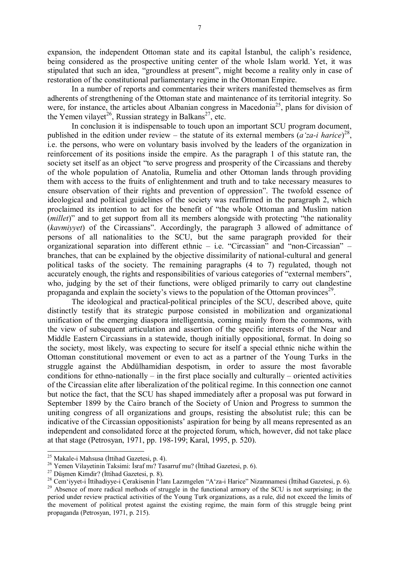expansion, the independent Ottoman state and its capital İstanbul, the caliph's residence, being considered as the prospective uniting center of the whole Islam world. Yet, it was stipulated that such an idea, "groundless at present", might become a reality only in case of restoration of the constitutional parliamentary regime in the Ottoman Empire.

In a number of reports and commentaries their writers manifested themselves as firm adherents of strengthening of the Ottoman state and maintenance of its territorial integrity. So were, for instance, the articles about Albanian congress in Macedonia<sup>25</sup>, plans for division of the Yemen vilayet<sup>26</sup>, Russian strategy in Balkans<sup>27</sup>, etc.

In conclusion it is indispensable to touch upon an important SCU program document, published in the edition under review – the statute of its external members  $(a'z + a - i \text{ }have)^{28}$ , i.e. the persons, who were on voluntary basis involved by the leaders of the organization in reinforcement of its positions inside the empire. As the paragraph 1 of this statute ran, the society set itself as an object "to serve progress and prosperity of the Circassians and thereby of the whole population of Anatolia, Rumelia and other Ottoman lands through providing them with access to the fruits of enlightenment and truth and to take necessary measures to ensure observation of their rights and prevention of oppression". The twofold essence of ideological and political guidelines of the society was reaffirmed in the paragraph 2, which proclaimed its intention to act for the benefit of "the whole Ottoman and Muslim nation (*millet*)" and to get support from all its members alongside with protecting "the nationality (*kavmiyyet*) of the Circassians". Accordingly, the paragraph 3 allowed of admittance of persons of all nationalities to the SCU, but the same paragraph provided for their organizational separation into different ethnic – i.e. "Circassian" and "non-Circassian" – branches, that can be explained by the objective dissimilarity of national-cultural and general political tasks of the society. The remaining paragraphs (4 to 7) regulated, though not accurately enough, the rights and responsibilities of various categories of "external members", who, judging by the set of their functions, were obliged primarily to carry out clandestine propaganda and explain the society's views to the population of the Ottoman provinces<sup>29</sup>.

The ideological and practical-political principles of the SCU, described above, quite distinctly testify that its strategic purpose consisted in mobilization and organizational unification of the emerging diaspora intelligentsia, coming mainly from the commons, with the view of subsequent articulation and assertion of the specific interests of the Near and Middle Eastern Circassians in a statewide, though initially oppositional, format. In doing so the society, most likely, was expecting to secure for itself a special ethnic niche within the Ottoman constitutional movement or even to act as a partner of the Young Turks in the struggle against the Abdülhamidian despotism, in order to assure the most favorable conditions for ethno-nationally – in the first place socially and culturally – oriented activities of the Circassian elite after liberalization of the political regime. In this connection one cannot but notice the fact, that the SCU has shaped immediately after a proposal was put forward in September 1899 by the Cairo branch of the Society of Union and Progress to summon the uniting congress of all organizations and groups, resisting the absolutist rule; this can be indicative of the Circassian oppositionists' aspiration for being by all means represented as an independent and consolidated force at the projected forum, which, however, did not take place at that stage (Petrosyan, 1971, pp. 198-199; Karal, 1995, p. 520).

<sup>&</sup>lt;sup>25</sup> Makale-i Mahsusa (Ittihad Gazetesi, p. 4).

<sup>&</sup>lt;sup>26</sup> Yemen Vilayetinin Taksimi: Israf mi? Tasarruf mu? (Ittihad Gazetesi, p. 6).<br><sup>27</sup> Düşmen Kimdir? (Ittihad Gazetesi, p. 8).<br><sup>28</sup> Cem 'iyyet-i Ittihadiyye-i Çerakisenin I'lanı Lazımgelen "A'za-i Harice" Nizamnamesi (Itt

period under review practical activities of the Young Turk organizations, as a rule, did not exceed the limits of the movement of political protest against the existing regime, the main form of this struggle being print propaganda (Petrosyan, 1971, p. 215).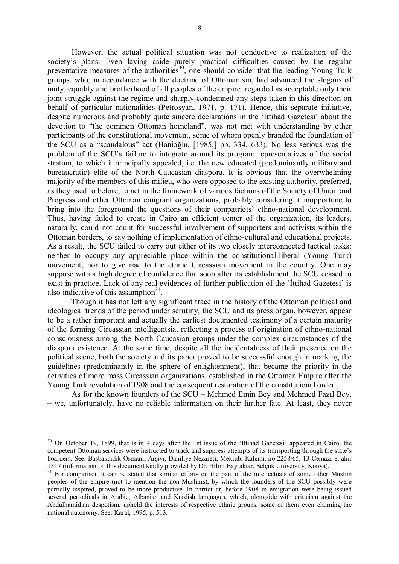However, the actual political situation was not conductive to realization of the society's plans. Even laying aside purely practical difficulties caused by the regular preventative measures of the authorities<sup>30</sup>, one should consider that the leading Young Turk groups, who, in accordance with the doctrine of Ottomanism, had advanced the slogans of unity, equality and brotherhood of all peoples of the empire, regarded as acceptable only their joint struggle against the regime and sharply condemned any steps taken in this direction on behalf of particular nationalities (Petrosyan, 1971, p. 171). Hence, this separate initiative, despite numerous and probably quite sincere declarations in the 'İttihad Gazetesi' about the devotion to "the common Ottoman homeland", was not met with understanding by other participants of the constitutional movement, some of whom openly branded the foundation of the SCU as a "scandalous" act (Hanioğlu, [1985,] pp. 334, 633). No less serious was the problem of the SCU's failure to integrate around its program representatives of the social stratum, to which it principally appealed, i.e. the new educated (predominantly military and bureaucratic) elite of the North Caucasian diaspora. It is obvious that the overwhelming majority of the members of this milieu, who were opposed to the existing authority, preferred, as they used to before, to act in the framework of various factions of the Society of Union and Progress and other Ottoman emigrant organizations, probably considering it inopportune to bring into the foreground the questions of their compatriots' ethno-national development. Thus, having failed to create in Cairo an efficient center of the organization, its leaders, naturally, could not count for successful involvement of supporters and activists within the Ottoman borders, to say nothing of implementation of ethno-cultural and educational projects. As a result, the SCU failed to carry out either of its two closely interconnected tactical tasks: neither to occupy any appreciable place within the constitutional-liberal (Young Turk) movement, nor to give rise to the ethnic Circassian movement in the country. One may suppose with a high degree of confidence that soon after its establishment the SCU ceased to exist in practice. Lack of any real evidences of further publication of the 'İttihad Gazetesi' is also indicative of this assumption $31$ .

Though it has not left any significant trace in the history of the Ottoman political and ideological trends of the period under scrutiny, the SCU and its press organ, however, appear to be a rather important and actually the earliest documented testimony of a certain maturity of the forming Circassian intelligentsia, reflecting a process of origination of ethno-national consciousness among the North Caucasian groups under the complex circumstances of the diaspora existence. At the same time, despite all the incidentalness of their presence on the political scene, both the society and its paper proved to be successful enough in marking the guidelines (predominantly in the sphere of enlightenment), that became the priority in the activities of more mass Circassian organizations, established in the Ottoman Empire after the Young Turk revolution of 1908 and the consequent restoration of the constitutional order.

As for the known founders of the SCU – Mehmed Emin Bey and Mehmed Fazıl Bey, – we, unfortunately, have no reliable information on their further fate. At least, they never

<sup>&</sup>lt;sup>30</sup> On October 19, 1899, that is in 4 days after the 1st issue of the 'Ittihad Gazetesi' appeared in Cairo, the competent Ottoman services were instructed to track and suppress attempts of its transporting through the state's boarders. See: Başbakanlık Osmanlı Arşivi, Dahiliye Nezareti, Mektubi Kalemi, no 2258/65, 13 Cemazi-el-ahir

<sup>&</sup>lt;sup>31</sup> For comparison it can be stated that similar efforts on the part of the intellectuals of some other Muslim peoples of the empire (not to mention the non-Muslims), by which the founders of the SCU possibly were partially inspired, proved to be more productive. In particular, before 1908 in emigration were being issued several periodicals in Arabic, Albanian and Kurdish languages, which, alongside with criticism against the Abdülhamidian despotism, upheld the interests of respective ethnic groups, some of them even claiming the national autonomy. See: Karal, 1995, p. 513.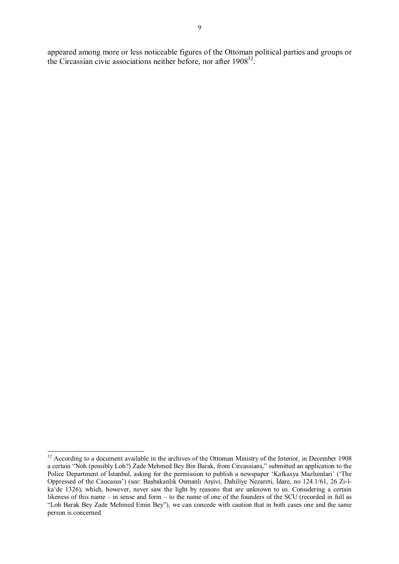appeared among more or less noticeable figures of the Ottoman political parties and groups or the Circassian civic associations neither before, nor after 1908<sup>32</sup>.

 $32$  According to a document available in the archives of the Ottoman Ministry of the Interior, in December 1908 a certain "Noh (possibly Loh?) Zade Mehmed Bey Bin Barak, from Circassians," submitted an application to the Police Department of İstanbul, asking for the permission to publish a newspaper 'Kafkasya Mazlumları' ('The Oppressed of the Caucasus') (see: Başbakanlık Osmanlı Arşivi, Dahiliye Nezareti, İdare, no 124.1/61, 26 Zi-lka'de 1326), which, however, never saw the light by reasons that are unknown to us. Considering a certain likeness of this name – in sense and form – to the name of one of the founders of the SCU (recorded in full as "Loh Barak Bey Zade Mehmed Emin Bey"), we can concede with caution that in both cases one and the same person is concerned.